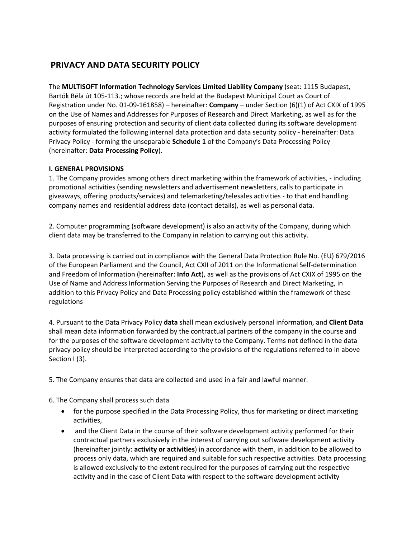# **PRIVACY AND DATA SECURITY POLICY**

The **MULTISOFT Information Technology Services Limited Liability Company** (seat: 1115 Budapest, Bartók Béla út 105-113.; whose records are held at the Budapest Municipal Court as Court of Registration under No. 01-09-161858) – hereinafter: **Company** – under Section (6)(1) of Act CXIX of 1995 on the Use of Names and Addresses for Purposes of Research and Direct Marketing, as well as for the purposes of ensuring protection and security of client data collected during its software development activity formulated the following internal data protection and data security policy - hereinafter: Data Privacy Policy - forming the unseparable **Schedule 1** of the Company's Data Processing Policy (hereinafter: **Data Processing Policy**).

# **I. GENERAL PROVISIONS**

1. The Company provides among others direct marketing within the framework of activities, - including promotional activities (sending newsletters and advertisement newsletters, calls to participate in giveaways, offering products/services) and telemarketing/telesales activities - to that end handling company names and residential address data (contact details), as well as personal data.

2. Computer programming (software development) is also an activity of the Company, during which client data may be transferred to the Company in relation to carrying out this activity.

3. Data processing is carried out in compliance with the General Data Protection Rule No. (EU) 679/2016 of the European Parliament and the Council, Act CXII of 2011 on the Informational Self-determination and Freedom of Information (hereinafter: **Info Act**), as well as the provisions of Act CXIX of 1995 on the Use of Name and Address Information Serving the Purposes of Research and Direct Marketing, in addition to this Privacy Policy and Data Processing policy established within the framework of these regulations

4. Pursuant to the Data Privacy Policy **data** shall mean exclusively personal information, and **Client Data**  shall mean data information forwarded by the contractual partners of the company in the course and for the purposes of the software development activity to the Company. Terms not defined in the data privacy policy should be interpreted according to the provisions of the regulations referred to in above Section I (3).

5. The Company ensures that data are collected and used in a fair and lawful manner.

6. The Company shall process such data

- for the purpose specified in the Data Processing Policy, thus for marketing or direct marketing activities,
- and the Client Data in the course of their software development activity performed for their contractual partners exclusively in the interest of carrying out software development activity (hereinafter jointly: **activity or activities**) in accordance with them, in addition to be allowed to process only data, which are required and suitable for such respective activities. Data processing is allowed exclusively to the extent required for the purposes of carrying out the respective activity and in the case of Client Data with respect to the software development activity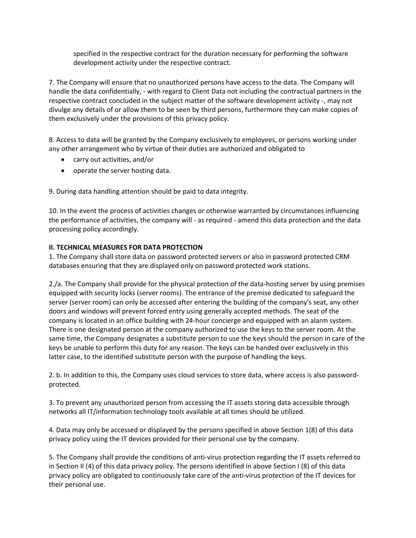specified in the respective contract for the duration necessary for performing the software development activity under the respective contract.

7. The Company will ensure that no unauthorized persons have access to the data. The Company will handle the data confidentially, - with regard to Client Data not including the contractual partners in the respective contract concluded in the subject matter of the software development activity -, may not divulge any details of or allow them to be seen by third persons, furthermore they can make copies of them exclusively under the provisions of this privacy policy.

8. Access to data will be granted by the Company exclusively to employees, or persons working under any other arrangement who by virtue of their duties are authorized and obligated to

- carry out activities, and/or
- operate the server hosting data.

9. During data handling attention should be paid to data integrity.

10. In the event the process of activities changes or otherwise warranted by circumstances influencing the performance of activities, the company will - as required - amend this data protection and the data processing policy accordingly.

# **II. TECHNICAL MEASURES FOR DATA PROTECTION**

1. The Company shall store data on password protected servers or also in password protected CRM databases ensuring that they are displayed only on password protected work stations.

2./a. The Company shall provide for the physical protection of the data-hosting server by using premises equipped with security locks (server rooms). The entrance of the premise dedicated to safeguard the server (server room) can only be accessed after entering the building of the company's seat, any other doors and windows will prevent forced entry using generally accepted methods. The seat of the company is located in an office building with 24-hour concierge and equipped with an alarm system. There is one designated person at the company authorized to use the keys to the server room. At the same time, the Company designates a substitute person to use the keys should the person in care of the keys be unable to perform this duty for any reason. The keys can be handed over exclusively in this latter case, to the identified substitute person with the purpose of handling the keys.

2. b. In addition to this, the Company uses cloud services to store data, where access is also passwordprotected.

3. To prevent any unauthorized person from accessing the IT assets storing data accessible through networks all IT/information technology tools available at all times should be utilized.

4. Data may only be accessed or displayed by the persons specified in above Section 1(8) of this data privacy policy using the IT devices provided for their personal use by the company.

5. The Company shall provide the conditions of anti-virus protection regarding the IT assets referred to in Section II (4) of this data privacy policy. The persons identified in above Section I (8) of this data privacy policy are obligated to continuously take care of the anti-virus protection of the IT devices for their personal use.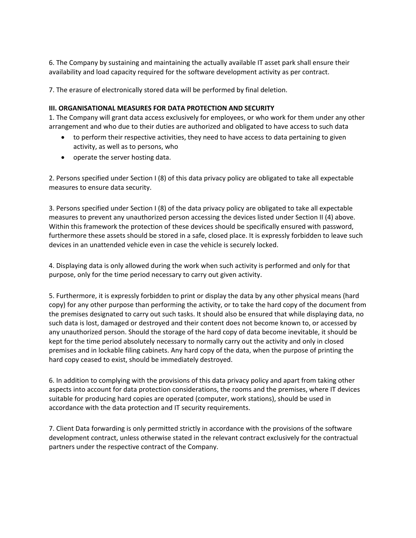6. The Company by sustaining and maintaining the actually available IT asset park shall ensure their availability and load capacity required for the software development activity as per contract.

7. The erasure of electronically stored data will be performed by final deletion.

#### **III. ORGANISATIONAL MEASURES FOR DATA PROTECTION AND SECURITY**

1. The Company will grant data access exclusively for employees, or who work for them under any other arrangement and who due to their duties are authorized and obligated to have access to such data

- to perform their respective activities, they need to have access to data pertaining to given activity, as well as to persons, who
- operate the server hosting data.

2. Persons specified under Section I (8) of this data privacy policy are obligated to take all expectable measures to ensure data security.

3. Persons specified under Section I (8) of the data privacy policy are obligated to take all expectable measures to prevent any unauthorized person accessing the devices listed under Section II (4) above. Within this framework the protection of these devices should be specifically ensured with password, furthermore these assets should be stored in a safe, closed place. It is expressly forbidden to leave such devices in an unattended vehicle even in case the vehicle is securely locked.

4. Displaying data is only allowed during the work when such activity is performed and only for that purpose, only for the time period necessary to carry out given activity.

5. Furthermore, it is expressly forbidden to print or display the data by any other physical means (hard copy) for any other purpose than performing the activity, or to take the hard copy of the document from the premises designated to carry out such tasks. It should also be ensured that while displaying data, no such data is lost, damaged or destroyed and their content does not become known to, or accessed by any unauthorized person. Should the storage of the hard copy of data become inevitable, it should be kept for the time period absolutely necessary to normally carry out the activity and only in closed premises and in lockable filing cabinets. Any hard copy of the data, when the purpose of printing the hard copy ceased to exist, should be immediately destroyed.

6. In addition to complying with the provisions of this data privacy policy and apart from taking other aspects into account for data protection considerations, the rooms and the premises, where IT devices suitable for producing hard copies are operated (computer, work stations), should be used in accordance with the data protection and IT security requirements.

7. Client Data forwarding is only permitted strictly in accordance with the provisions of the software development contract, unless otherwise stated in the relevant contract exclusively for the contractual partners under the respective contract of the Company.